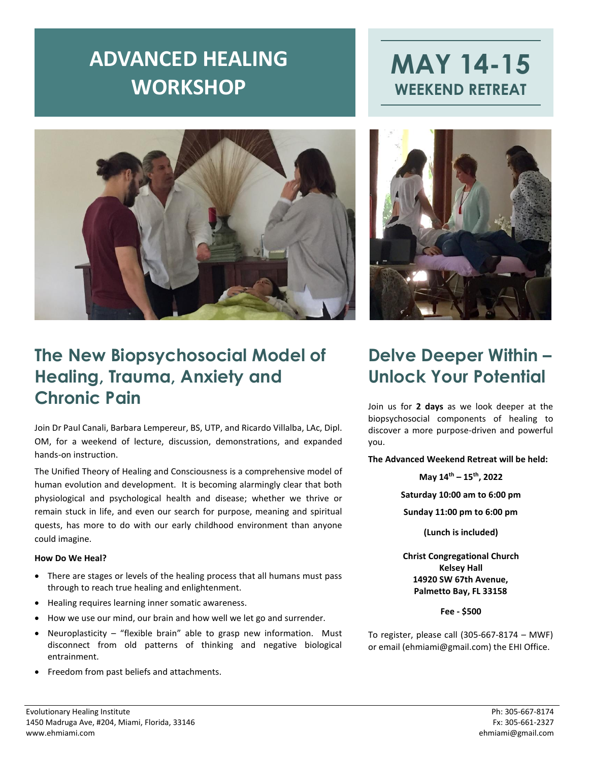# **ADVANCED HEALING WORKSHOP**







### **The New Biopsychosocial Model of Healing, Trauma, Anxiety and Chronic Pain**

Join Dr Paul Canali, Barbara Lempereur, BS, UTP, and Ricardo Villalba, LAc, Dipl. OM, for a weekend of lecture, discussion, demonstrations, and expanded hands-on instruction.

The Unified Theory of Healing and Consciousness is a comprehensive model of human evolution and development. It is becoming alarmingly clear that both physiological and psychological health and disease; whether we thrive or remain stuck in life, and even our search for purpose, meaning and spiritual quests, has more to do with our early childhood environment than anyone could imagine.

#### **How Do We Heal?**

- There are stages or levels of the healing process that all humans must pass through to reach true healing and enlightenment.
- Healing requires learning inner somatic awareness.
- How we use our mind, our brain and how well we let go and surrender.
- Neuroplasticity "flexible brain" able to grasp new information. Must disconnect from old patterns of thinking and negative biological entrainment.
- Freedom from past beliefs and attachments.

### **Delve Deeper Within – Unlock Your Potential**

Join us for **2 days** as we look deeper at the biopsychosocial components of healing to discover a more purpose-driven and powerful you.

**The Advanced Weekend Retreat will be held:**

**May 14th – 15th, 2022**

**Saturday 10:00 am to 6:00 pm**

**Sunday 11:00 pm to 6:00 pm**

**(Lunch is included)**

**Christ Congregational Church Kelsey Hall 14920 SW 67th Avenue, Palmetto Bay, FL 33158**

**Fee - \$500**

To register, please call (305-667-8174 – MWF) or email (ehmiami@gmail.com) the EHI Office.